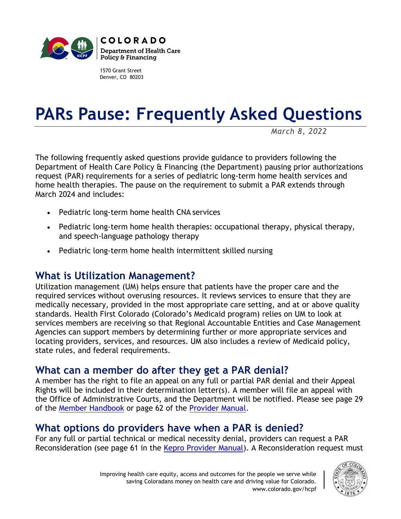

1570 Grant Street Denver, CO 80203

# **PARs Pause: Frequently Asked Questions**

*March 8, 2022*

The following frequently asked questions provide guidance to providers following the Department of Health Care Policy & Financing (the Department) pausing prior authorizations request (PAR) requirements for a series of pediatric long-term home health services and home health therapies. The pause on the requirement to submit a PAR extends through March 2024 and includes:

- Pediatric long-term home health CNA services
- Pediatric long-term home health therapies: occupational therapy, physical therapy, and speech-language pathology therapy
- Pediatric long-term home health intermittent skilled nursing

## **What is Utilization Management?**

Utilization management (UM) helps ensure that patients have the proper care and the required services without overusing resources. It reviews services to ensure that they are medically necessary, provided in the most appropriate care setting, and at or above quality standards. Health First Colorado (Colorado's Medicaid program) relies on UM to look at services members are receiving so that Regional Accountable Entities and Case Management Agencies can support members by determining further or more appropriate services and locating providers, services, and resources. UM also includes a review of Medicaid policy, state rules, and federal requirements.

## **What can a member do after they get a PAR denial?**

A member has the right to file an appeal on any full or partial PAR denial and their Appeal Rights will be included in their determination letter(s). A member will file an appeal with the Office of Administrative Courts, and the Department will be notified. Please see page 29 of the [Member Handbook](https://www.healthfirstcolorado.com/wp-content/uploads/2020/05/Health-First-Colorado-Member-Handbook.pdf) or page 62 of the [Provider Manual.](https://hcpf.colorado.gov/sites/hcpf/files/Provider%20Manual.pdf)

## **What options do providers have when a PAR is denied?**

For any full or partial technical or medical necessity denial, providers can request a PAR Reconsideration (see page 61 in the [Kepro Provider Manual\)](https://hcpf.colorado.gov/sites/hcpf/files/Provider%20Manual.pdf). A Reconsideration request must

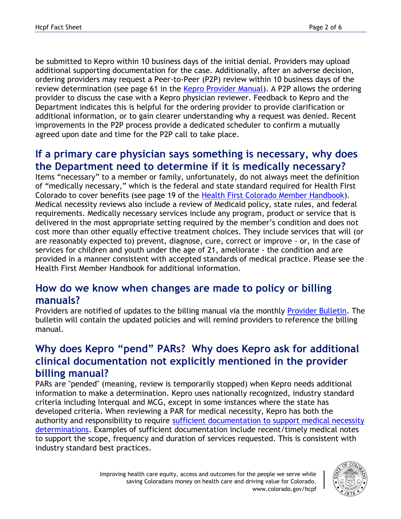be submitted to Kepro within 10 business days of the initial denial. Providers may upload additional supporting documentation for the case. Additionally, after an adverse decision, ordering providers may request a Peer-to-Peer (P2P) review within 10 business days of the review determination (see page 61 in the [Kepro Provider Manual\)](https://hcpf.colorado.gov/sites/hcpf/files/Provider%20Manual.pdf). A P2P allows the ordering provider to discuss the case with a Kepro physician reviewer. Feedback to Kepro and the Department indicates this is helpful for the ordering provider to provide clarification or additional information, or to gain clearer understanding why a request was denied. Recent improvements in the P2P process provide a dedicated scheduler to confirm a mutually agreed upon date and time for the P2P call to take place.

## **If a primary care physician says something is necessary, why does the Department need to determine if it is medically necessary?**

Items "necessary" to a member or family, unfortunately, do not always meet the definition of "medically necessary," which is the federal and state standard required for Health First Colorado to cover benefits (see page 19 of the [Health First Colorado Member Handbook\)](https://www.healthfirstcolorado.com/wp-content/uploads/2020/05/Health-First-Colorado-Member-Handbook.pdf). Medical necessity reviews also include a review of Medicaid policy, state rules, and federal requirements. Medically necessary services include any program, product or service that is delivered in the most appropriate setting required by the member's condition and does not cost more than other equally effective treatment choices. They include services that will (or are reasonably expected to) prevent, diagnose, cure, correct or improve - or, in the case of services for children and youth under the age of 21, ameliorate - the condition and are provided in a manner consistent with accepted standards of medical practice. Please see the Health First Member Handbook for additional information.

#### **How do we know when changes are made to policy or billing manuals?**

Providers are notified of updates to the billing manual via the monthly [Provider Bulletin.](https://hcpf.colorado.gov/bulletins) The bulletin will contain the updated policies and will remind providers to reference the billing manual.

## **Why does Kepro "pend" PARs? Why does Kepro ask for additional clinical documentation not explicitly mentioned in the provider billing manual?**

PARs are "pended" (meaning, review is temporarily stopped) when Kepro needs additional information to make a determination. Kepro uses nationally recognized, industry standard criteria including Interqual and MCG, except in some instances where the state has developed criteria. When reviewing a PAR for medical necessity, Kepro has both the authority and responsibility to require [sufficient documentation to support medical necessity](https://hcpf.colorado.gov/sites/hcpf/files/How%20to%20Add%20Supporting%20Documentation%20-%20Quick%20Reference%20Guide_May2021_0.pdf)  [determinations.](https://hcpf.colorado.gov/sites/hcpf/files/How%20to%20Add%20Supporting%20Documentation%20-%20Quick%20Reference%20Guide_May2021_0.pdf) Examples of sufficient documentation include recent/timely medical notes to support the scope, frequency and duration of services requested. This is consistent with industry standard best practices.

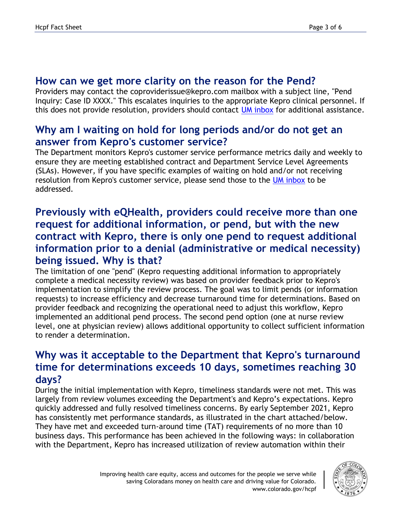#### **How can we get more clarity on the reason for the Pend?**

Providers may contact the coproviderissue@kepro.com mailbox with a subject line, "Pend Inquiry: Case ID XXXX." This escalates inquiries to the appropriate Kepro clinical personnel. If this does not provide resolution, providers should contact [UM inbox](mailto:hcpf_um@state.co.us) for additional assistance.

#### **Why am I waiting on hold for long periods and/or do not get an answer from Kepro's customer service?**

The Department monitors Kepro's customer service performance metrics daily and weekly to ensure they are meeting established contract and Department Service Level Agreements (SLAs). However, if you have specific examples of waiting on hold and/or not receiving resolution from Kepro's customer service, please send those to the [UM inbox](mailto:hcpf_um@state.co.us) to be addressed.

## **Previously with eQHealth, providers could receive more than one request for additional information, or pend, but with the new contract with Kepro, there is only one pend to request additional information prior to a denial (administrative or medical necessity) being issued. Why is that?**

The limitation of one "pend" (Kepro requesting additional information to appropriately complete a medical necessity review) was based on provider feedback prior to Kepro's implementation to simplify the review process. The goal was to limit pends (or information requests) to increase efficiency and decrease turnaround time for determinations. Based on provider feedback and recognizing the operational need to adjust this workflow, Kepro implemented an additional pend process. The second pend option (one at nurse review level, one at physician review) allows additional opportunity to collect sufficient information to render a determination.

## **Why was it acceptable to the Department that Kepro's turnaround time for determinations exceeds 10 days, sometimes reaching 30 days?**

During the initial implementation with Kepro, timeliness standards were not met. This was largely from review volumes exceeding the Department's and Kepro's expectations. Kepro quickly addressed and fully resolved timeliness concerns. By early September 2021, Kepro has consistently met performance standards, as illustrated in the chart attached/below. They have met and exceeded turn-around time (TAT) requirements of no more than 10 business days. This performance has been achieved in the following ways: in collaboration with the Department, Kepro has increased utilization of review automation within their

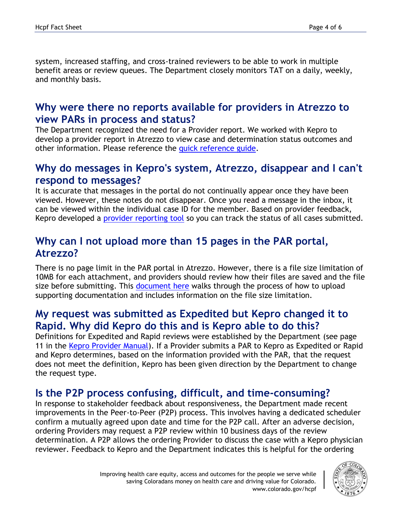system, increased staffing, and cross-trained reviewers to be able to work in multiple benefit areas or review queues. The Department closely monitors TAT on a daily, weekly, and monthly basis.

#### **Why were there no reports available for providers in Atrezzo to view PARs in process and status?**

The Department recognized the need for a Provider report. We worked with Kepro to develop a provider report in Atrezzo to view case and determination status outcomes and other information. Please reference the [quick reference guide.](https://hcpf.colorado.gov/sites/hcpf/files/How%20to%20Request%20Provider%20Reports%20in%20Atrezzo.pdf)

#### **Why do messages in Kepro's system, Atrezzo, disappear and I can't respond to messages?**

It is accurate that messages in the portal do not continually appear once they have been viewed. However, these notes do not disappear. Once you read a message in the inbox, it can be viewed within the individual case ID for the member. Based on provider feedback, Kepro developed a [provider reporting tool](https://hcpf.colorado.gov/sites/hcpf/files/How%20to%20Request%20Provider%20Reports%20in%20Atrezzo.pdf) so you can track the status of all cases submitted.

#### **Why can I not upload more than 15 pages in the PAR portal, Atrezzo?**

There is no page limit in the PAR portal in Atrezzo. However, there is a file size limitation of 10MB for each attachment, and providers should review how their files are saved and the file size before submitting. This [document here](https://hcpf.colorado.gov/sites/hcpf/files/How%20to%20Add%20Supporting%20Documentation%20-%20Quick%20Reference%20Guide_May2021_0.pdf) walks through the process of how to upload supporting documentation and includes information on the file size limitation.

## **My request was submitted as Expedited but Kepro changed it to Rapid. Why did Kepro do this and is Kepro able to do this?**

Definitions for Expedited and Rapid reviews were established by the Department (see page 11 in the [Kepro Provider Manual\)](https://hcpf.colorado.gov/sites/hcpf/files/Provider%20Manual.pdf). If a Provider submits a PAR to Kepro as Expedited or Rapid and Kepro determines, based on the information provided with the PAR, that the request does not meet the definition, Kepro has been given direction by the Department to change the request type.

## **Is the P2P process confusing, difficult, and time-consuming?**

In response to stakeholder feedback about responsiveness, the Department made recent improvements in the Peer-to-Peer (P2P) process. This involves having a dedicated scheduler confirm a mutually agreed upon date and time for the P2P call. After an adverse decision, ordering Providers may request a P2P review within 10 business days of the review determination. A P2P allows the ordering Provider to discuss the case with a Kepro physician reviewer. Feedback to Kepro and the Department indicates this is helpful for the ordering

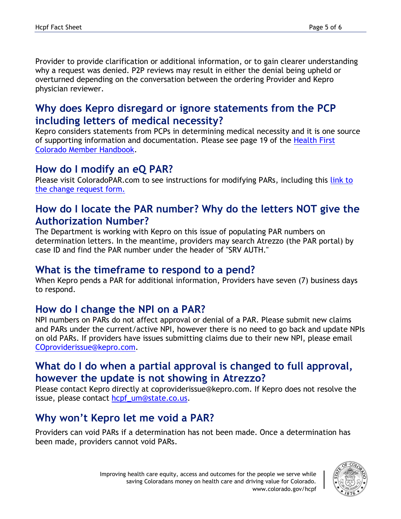Provider to provide clarification or additional information, or to gain clearer understanding why a request was denied. P2P reviews may result in either the denial being upheld or overturned depending on the conversation between the ordering Provider and Kepro physician reviewer.

## **Why does Kepro disregard or ignore statements from the PCP including letters of medical necessity?**

Kepro considers statements from PCPs in determining medical necessity and it is one source of supporting information and documentation. Please see page 19 of the [Health First](https://www.healthfirstcolorado.com/wp-content/uploads/2020/05/Health-First-Colorado-Member-Handbook.pdf)  [Colorado Member Handbook.](https://www.healthfirstcolorado.com/wp-content/uploads/2020/05/Health-First-Colorado-Member-Handbook.pdf)

## **How do I modify an eQ PAR?**

Please visit ColoradoPAR.com to see instructions for modifying PARs, including this link to [the change request form.](https://hcpf.colorado.gov/sites/hcpf/files/EQ%20Health%20Prior%20Authorization%20Change%20Request%20Form%20posted%20April%202021.pdf)

#### **How do I locate the PAR number? Why do the letters NOT give the Authorization Number?**

The Department is working with Kepro on this issue of populating PAR numbers on determination letters. In the meantime, providers may search Atrezzo (the PAR portal) by case ID and find the PAR number under the header of "SRV AUTH."

#### **What is the timeframe to respond to a pend?**

When Kepro pends a PAR for additional information, Providers have seven (7) business days to respond.

#### **How do I change the NPI on a PAR?**

NPI numbers on PARs do not affect approval or denial of a PAR. Please submit new claims and PARs under the current/active NPI, however there is no need to go back and update NPIs on old PARs. If providers have issues submitting claims due to their new NPI, please email [COproviderissue@kepro.com.](mailto:COproviderissue@kepro.com)

## **What do I do when a partial approval is changed to full approval, however the update is not showing in Atrezzo?**

Please contact Kepro directly at coproviderissue@kepro.com. If Kepro does not resolve the issue, please contact [hcpf\\_um@state.co.us.](mailto:hcpf_um@state.co.us)

## **Why won't Kepro let me void a PAR?**

Providers can void PARs if a determination has not been made. Once a determination has been made, providers cannot void PARs.